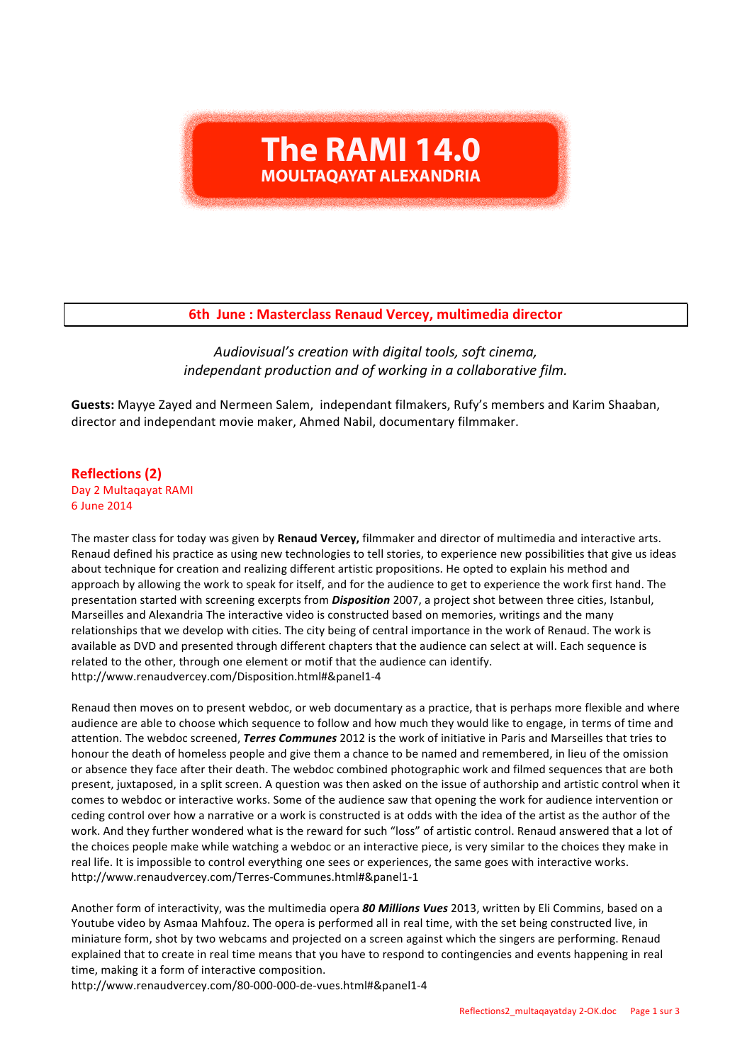# **The RAMI 14.0 MOULTAOAYAT ALEXANDRIA**

# **6th June : Masterclass Renaud Vercey, multimedia director**

# *Audiovisual's creation with digital tools, soft cinema, independant production and of working in a collaborative film.*

Guests: Mayye Zayed and Nermeen Salem, independant filmakers, Rufy's members and Karim Shaaban, director and independant movie maker, Ahmed Nabil, documentary filmmaker.

**Reflections (2)** Day 2 Multaqayat RAMI 6 June 2014

The master class for today was given by **Renaud Vercey,** filmmaker and director of multimedia and interactive arts. Renaud defined his practice as using new technologies to tell stories, to experience new possibilities that give us ideas about technique for creation and realizing different artistic propositions. He opted to explain his method and approach by allowing the work to speak for itself, and for the audience to get to experience the work first hand. The presentation started with screening excerpts from *Disposition* 2007, a project shot between three cities, Istanbul, Marseilles and Alexandria The interactive video is constructed based on memories, writings and the many relationships that we develop with cities. The city being of central importance in the work of Renaud. The work is available as DVD and presented through different chapters that the audience can select at will. Each sequence is related to the other, through one element or motif that the audience can identify. http://www.renaudvercey.com/Disposition.html#&panel1-4

Renaud then moves on to present webdoc, or web documentary as a practice, that is perhaps more flexible and where audience are able to choose which sequence to follow and how much they would like to engage, in terms of time and attention. The webdoc screened, *Terres Communes* 2012 is the work of initiative in Paris and Marseilles that tries to honour the death of homeless people and give them a chance to be named and remembered, in lieu of the omission or absence they face after their death. The webdoc combined photographic work and filmed sequences that are both present, juxtaposed, in a split screen. A question was then asked on the issue of authorship and artistic control when it comes to webdoc or interactive works. Some of the audience saw that opening the work for audience intervention or ceding control over how a narrative or a work is constructed is at odds with the idea of the artist as the author of the work. And they further wondered what is the reward for such "loss" of artistic control. Renaud answered that a lot of the choices people make while watching a webdoc or an interactive piece, is very similar to the choices they make in real life. It is impossible to control everything one sees or experiences, the same goes with interactive works. http://www.renaudvercey.com/Terres-Communes.html#&panel1-1

Another form of interactivity, was the multimedia opera 80 Millions Vues 2013, written by Eli Commins, based on a Youtube video by Asmaa Mahfouz. The opera is performed all in real time, with the set being constructed live, in miniature form, shot by two webcams and projected on a screen against which the singers are performing. Renaud explained that to create in real time means that you have to respond to contingencies and events happening in real time, making it a form of interactive composition.

http://www.renaudvercey.com/80-000-000-de-vues.html#&panel1-4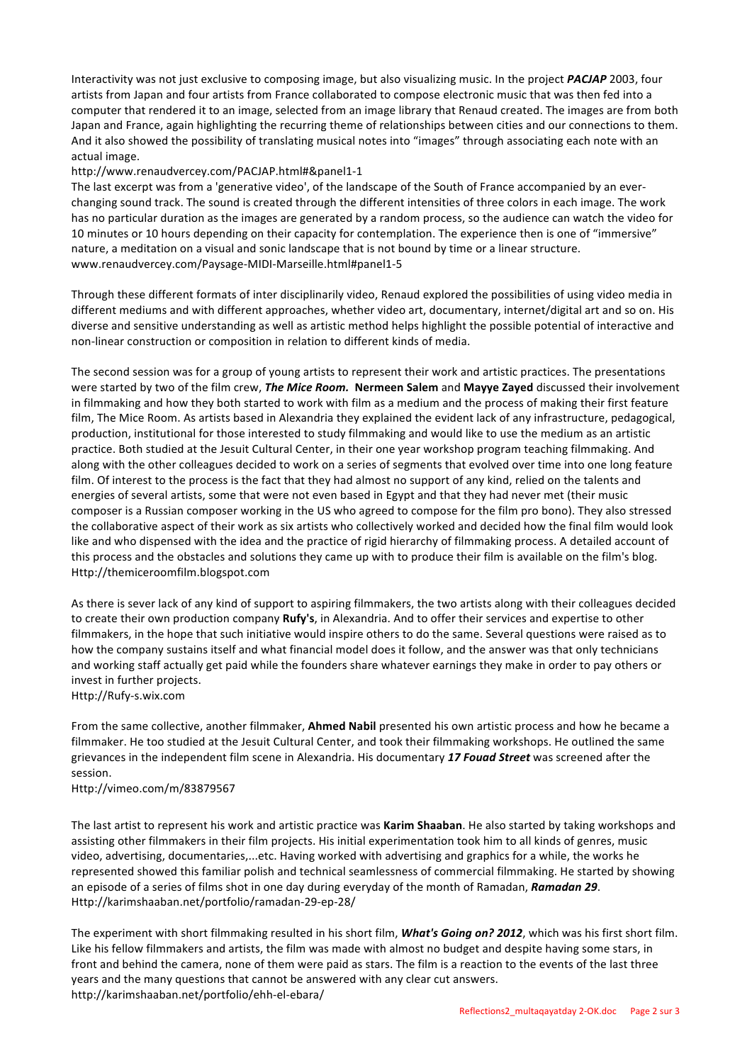Interactivity was not just exclusive to composing image, but also visualizing music. In the project **PACJAP** 2003, four artists from Japan and four artists from France collaborated to compose electronic music that was then fed into a computer that rendered it to an image, selected from an image library that Renaud created. The images are from both Japan and France, again highlighting the recurring theme of relationships between cities and our connections to them. And it also showed the possibility of translating musical notes into "images" through associating each note with an actual image.

### http://www.renaudvercey.com/PACJAP.html#&panel1-1

The last excerpt was from a 'generative video', of the landscape of the South of France accompanied by an everchanging sound track. The sound is created through the different intensities of three colors in each image. The work has no particular duration as the images are generated by a random process, so the audience can watch the video for 10 minutes or 10 hours depending on their capacity for contemplation. The experience then is one of "immersive" nature, a meditation on a visual and sonic landscape that is not bound by time or a linear structure. www.renaudvercey.com/Paysage-MIDI-Marseille.html#panel1-5

Through these different formats of inter disciplinarily video, Renaud explored the possibilities of using video media in different mediums and with different approaches, whether video art, documentary, internet/digital art and so on. His diverse and sensitive understanding as well as artistic method helps highlight the possible potential of interactive and non-linear construction or composition in relation to different kinds of media.

The second session was for a group of young artists to represent their work and artistic practices. The presentations were started by two of the film crew, *The Mice Room.* Nermeen Salem and Mayye Zayed discussed their involvement in filmmaking and how they both started to work with film as a medium and the process of making their first feature film, The Mice Room. As artists based in Alexandria they explained the evident lack of any infrastructure, pedagogical, production, institutional for those interested to study filmmaking and would like to use the medium as an artistic practice. Both studied at the Jesuit Cultural Center, in their one year workshop program teaching filmmaking. And along with the other colleagues decided to work on a series of segments that evolved over time into one long feature film. Of interest to the process is the fact that they had almost no support of any kind, relied on the talents and energies of several artists, some that were not even based in Egypt and that they had never met (their music composer is a Russian composer working in the US who agreed to compose for the film pro bono). They also stressed the collaborative aspect of their work as six artists who collectively worked and decided how the final film would look like and who dispensed with the idea and the practice of rigid hierarchy of filmmaking process. A detailed account of this process and the obstacles and solutions they came up with to produce their film is available on the film's blog. Http://themiceroomfilm.blogspot.com

As there is sever lack of any kind of support to aspiring filmmakers, the two artists along with their colleagues decided to create their own production company **Rufy's**, in Alexandria. And to offer their services and expertise to other filmmakers, in the hope that such initiative would inspire others to do the same. Several questions were raised as to how the company sustains itself and what financial model does it follow, and the answer was that only technicians and working staff actually get paid while the founders share whatever earnings they make in order to pay others or invest in further projects. Http://Rufy-s.wix.com

From the same collective, another filmmaker, **Ahmed Nabil** presented his own artistic process and how he became a filmmaker. He too studied at the Jesuit Cultural Center, and took their filmmaking workshops. He outlined the same grievances in the independent film scene in Alexandria. His documentary 17 Fouad Street was screened after the session. 

Http://vimeo.com/m/83879567

The last artist to represent his work and artistic practice was Karim Shaaban. He also started by taking workshops and assisting other filmmakers in their film projects. His initial experimentation took him to all kinds of genres, music video, advertising, documentaries,...etc. Having worked with advertising and graphics for a while, the works he represented showed this familiar polish and technical seamlessness of commercial filmmaking. He started by showing an episode of a series of films shot in one day during everyday of the month of Ramadan, *Ramadan 29*. Http://karimshaaban.net/portfolio/ramadan-29-ep-28/

The experiment with short filmmaking resulted in his short film, *What's Going on? 2012*, which was his first short film. Like his fellow filmmakers and artists, the film was made with almost no budget and despite having some stars, in front and behind the camera, none of them were paid as stars. The film is a reaction to the events of the last three years and the many questions that cannot be answered with any clear cut answers. http://karimshaaban.net/portfolio/ehh-el-ebara/